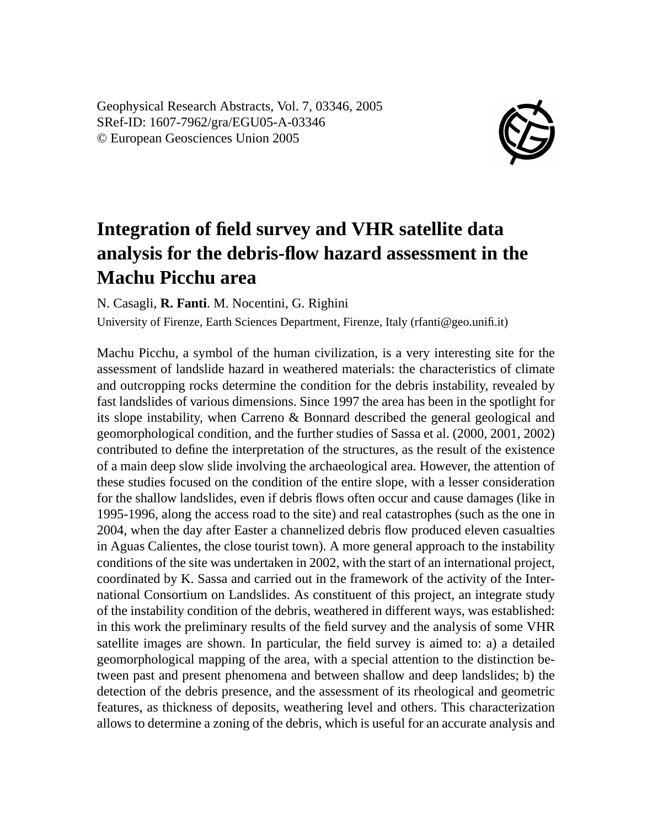Geophysical Research Abstracts, Vol. 7, 03346, 2005 SRef-ID: 1607-7962/gra/EGU05-A-03346 © European Geosciences Union 2005



## **Integration of field survey and VHR satellite data analysis for the debris-flow hazard assessment in the Machu Picchu area**

N. Casagli, **R. Fanti**. M. Nocentini, G. Righini

University of Firenze, Earth Sciences Department, Firenze, Italy (rfanti@geo.unifi.it)

Machu Picchu, a symbol of the human civilization, is a very interesting site for the assessment of landslide hazard in weathered materials: the characteristics of climate and outcropping rocks determine the condition for the debris instability, revealed by fast landslides of various dimensions. Since 1997 the area has been in the spotlight for its slope instability, when Carreno & Bonnard described the general geological and geomorphological condition, and the further studies of Sassa et al. (2000, 2001, 2002) contributed to define the interpretation of the structures, as the result of the existence of a main deep slow slide involving the archaeological area. However, the attention of these studies focused on the condition of the entire slope, with a lesser consideration for the shallow landslides, even if debris flows often occur and cause damages (like in 1995-1996, along the access road to the site) and real catastrophes (such as the one in 2004, when the day after Easter a channelized debris flow produced eleven casualties in Aguas Calientes, the close tourist town). A more general approach to the instability conditions of the site was undertaken in 2002, with the start of an international project, coordinated by K. Sassa and carried out in the framework of the activity of the International Consortium on Landslides. As constituent of this project, an integrate study of the instability condition of the debris, weathered in different ways, was established: in this work the preliminary results of the field survey and the analysis of some VHR satellite images are shown. In particular, the field survey is aimed to: a) a detailed geomorphological mapping of the area, with a special attention to the distinction between past and present phenomena and between shallow and deep landslides; b) the detection of the debris presence, and the assessment of its rheological and geometric features, as thickness of deposits, weathering level and others. This characterization allows to determine a zoning of the debris, which is useful for an accurate analysis and